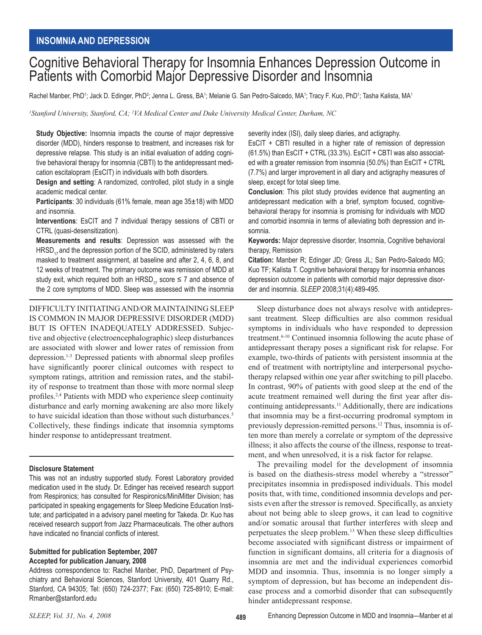# Cognitive Behavioral Therapy for Insomnia Enhances Depression Outcome in Patients with Comorbid Major Depressive Disorder and Insomnia

Rachel Manber, PhD<sup>1</sup>; Jack D. Edinger, PhD<sup>2</sup>; Jenna L. Gress, BA<sup>1</sup>; Melanie G. San Pedro-Salcedo, MA<sup>1</sup>; Tracy F. Kuo, PhD<sup>1</sup>; Tasha Kalista, MA<sup>1</sup>

<sup>1</sup> Stanford University, Stanford, CA; <sup>2</sup>VA Medical Center and Duke University Medical Center, Durham, NC

**Study Objective:** Insomnia impacts the course of major depressive disorder (MDD), hinders response to treatment, and increases risk for depressive relapse. This study is an initial evaluation of adding cognitive behavioral therapy for insomnia (CBTI) to the antidepressant medication escitalopram (EsCIT) in individuals with both disorders.

**Design and setting**: A randomized, controlled, pilot study in a single academic medical center.

**Participants**: 30 individuals (61% female, mean age 35±18) with MDD and insomnia.

**Interventions**: EsCIT and 7 individual therapy sessions of CBTI or CTRL (quasi-desensitization).

**Measurements and results**: Depression was assessed with the  $HRSD<sub>17</sub>$  and the depression portion of the SCID, administered by raters masked to treatment assignment, at baseline and after 2, 4, 6, 8, and 12 weeks of treatment. The primary outcome was remission of MDD at study exit, which required both an HRSD<sub>17</sub> score  $\leq$  7 and absence of the 2 core symptoms of MDD. Sleep was assessed with the insomnia

DIFFICULTY INITIATING AND/OR MAINTAINING SLEEP IS COMMON IN MAJOR DEPRESSIVE DISORDER (MDD) BUT IS OFTEN INADEQUATELY ADDRESSED. Subjective and objective (electroencephalographic) sleep disturbances are associated with slower and lower rates of remission from depression.1-3 Depressed patients with abnormal sleep profiles have significantly poorer clinical outcomes with respect to symptom ratings, attrition and remission rates, and the stability of response to treatment than those with more normal sleep profiles.2,4 Patients with MDD who experience sleep continuity disturbance and early morning awakening are also more likely to have suicidal ideation than those without such disturbances.<sup>5</sup> Collectively, these findings indicate that insomnia symptoms hinder response to antidepressant treatment.

## **Disclosure Statement**

This was not an industry supported study. Forest Laboratory provided medication used in the study. Dr. Edinger has received research support from Respironics; has consulted for Respironics/MiniMitter Division; has participated in speaking engagements for Sleep Medicine Education Institute; and participated in a advisory panel meeting for Takeda. Dr. Kuo has received research support from Jazz Pharmaceuticals. The other authors have indicated no financial conflicts of interest.

## **Submitted for publication September, 2007 Accepted for publication January, 2008**

Address correspondence to: Rachel Manber, PhD, Department of Psychiatry and Behavioral Sciences, Stanford University, 401 Quarry Rd., Stanford, CA 94305; Tel: (650) 724-2377; Fax: (650) 725-8910; E-mail: Rmanber@stanford.edu

severity index (ISI), daily sleep diaries, and actigraphy.

EsCIT + CBTI resulted in a higher rate of remission of depression (61.5%) than EsCIT + CTRL (33.3%). EsCIT + CBTI was also associated with a greater remission from insomnia (50.0%) than EsCIT + CTRL (7.7%) and larger improvement in all diary and actigraphy measures of sleep, except for total sleep time.

**Conclusion**: This pilot study provides evidence that augmenting an antidepressant medication with a brief, symptom focused, cognitivebehavioral therapy for insomnia is promising for individuals with MDD and comorbid insomnia in terms of alleviating both depression and insomnia.

**Keywords:** Major depressive disorder, Insomnia, Cognitive behavioral therapy, Remission

**Citation:** Manber R; Edinger JD; Gress JL; San Pedro-Salcedo MG; Kuo TF; Kalista T. Cognitive behavioral therapy for insomnia enhances depression outcome in patients with comorbid major depressive disorder and insomnia. *SLEEP* 2008;31(4):489-495.

Sleep disturbance does not always resolve with antidepressant treatment. Sleep difficulties are also common residual symptoms in individuals who have responded to depression treatment.<sup>6-10</sup> Continued insomnia following the acute phase of antidepressant therapy poses a significant risk for relapse. For example, two-thirds of patients with persistent insomnia at the end of treatment with nortriptyline and interpersonal psychotherapy relapsed within one year after switching to pill placebo. In contrast, 90% of patients with good sleep at the end of the acute treatment remained well during the first year after discontinuing antidepressants.11 Additionally, there are indications that insomnia may be a first-occurring prodromal symptom in previously depression-remitted persons.12 Thus, insomnia is often more than merely a correlate or symptom of the depressive illness; it also affects the course of the illness, response to treatment, and when unresolved, it is a risk factor for relapse.

The prevailing model for the development of insomnia is based on the diathesis-stress model whereby a "stressor" precipitates insomnia in predisposed individuals. This model posits that, with time, conditioned insomnia develops and persists even after the stressor is removed. Specifically, as anxiety about not being able to sleep grows, it can lead to cognitive and/or somatic arousal that further interferes with sleep and perpetuates the sleep problem.13 When these sleep difficulties become associated with significant distress or impairment of function in significant domains, all criteria for a diagnosis of insomnia are met and the individual experiences comorbid MDD and insomnia. Thus, insomnia is no longer simply a symptom of depression, but has become an independent disease process and a comorbid disorder that can subsequently hinder antidepressant response.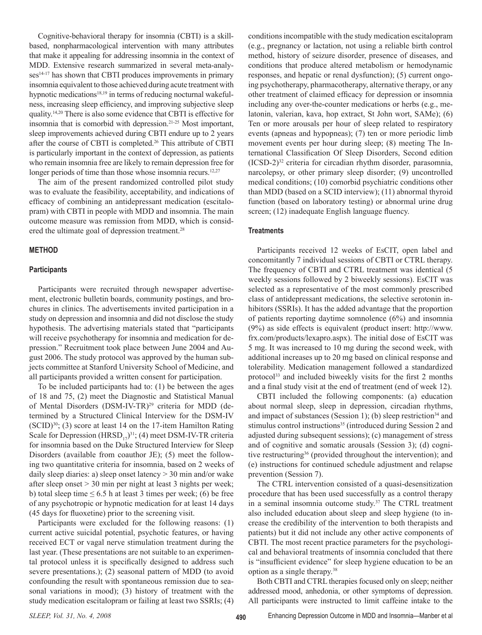Cognitive-behavioral therapy for insomnia (CBTI) is a skillbased, nonpharmacological intervention with many attributes that make it appealing for addressing insomnia in the context of MDD. Extensive research summarized in several meta-analyses<sup>14-17</sup> has shown that CBTI produces improvements in primary insomnia equivalent to those achieved during acute treatment with hypnotic medications<sup>18,19</sup> in terms of reducing nocturnal wakefulness, increasing sleep efficiency, and improving subjective sleep quality.14,20 There is also some evidence that CBTI is effective for insomnia that is comorbid with depression.21-25 Most important, sleep improvements achieved during CBTI endure up to 2 years after the course of CBTI is completed.26 This attribute of CBTI is particularly important in the context of depression, as patients who remain insomnia free are likely to remain depression free for longer periods of time than those whose insomnia recurs.<sup>12,27</sup>

The aim of the present randomized controlled pilot study was to evaluate the feasibility, acceptability, and indications of efficacy of combining an antidepressant medication (escitalopram) with CBTI in people with MDD and insomnia. The main outcome measure was remission from MDD, which is considered the ultimate goal of depression treatment.<sup>28</sup>

#### **METHOD**

#### **Participants**

Participants were recruited through newspaper advertisement, electronic bulletin boards, community postings, and brochures in clinics. The advertisements invited participation in a study on depression and insomnia and did not disclose the study hypothesis. The advertising materials stated that "participants will receive psychotherapy for insomnia and medication for depression." Recruitment took place between June 2004 and August 2006. The study protocol was approved by the human subjects committee at Stanford University School of Medicine, and all participants provided a written consent for participation.

To be included participants had to: (1) be between the ages of 18 and 75, (2) meet the Diagnostic and Statistical Manual of Mental Disorders (DSM-IV-TR)<sup>29</sup> criteria for MDD (determined by a Structured Clinical Interview for the DSM-IV  $(SCID)^{30}$ ; (3) score at least 14 on the 17-item Hamilton Rating Scale for Depression  $(HRSD_{17})^{31}$ ; (4) meet DSM-IV-TR criteria for insomnia based on the Duke Structured Interview for Sleep Disorders (available from coauthor JE); (5) meet the following two quantitative criteria for insomnia, based on 2 weeks of daily sleep diaries: a) sleep onset latency > 30 min and/or wake after sleep onset > 30 min per night at least 3 nights per week; b) total sleep time  $\leq 6.5$  h at least 3 times per week; (6) be free of any psychotropic or hypnotic medication for at least 14 days (45 days for fluoxetine) prior to the screening visit.

Participants were excluded for the following reasons: (1) current active suicidal potential, psychotic features, or having received ECT or vagal nerve stimulation treatment during the last year. (These presentations are not suitable to an experimental protocol unless it is specifically designed to address such severe presentations.); (2) seasonal pattern of MDD (to avoid confounding the result with spontaneous remission due to seasonal variations in mood); (3) history of treatment with the study medication escitalopram or failing at least two SSRIs; (4)

conditions incompatible with the study medication escitalopram (e.g., pregnancy or lactation, not using a reliable birth control method, history of seizure disorder, presence of diseases, and conditions that produce altered metabolism or hemodynamic responses, and hepatic or renal dysfunction); (5) current ongoing psychotherapy, pharmacotherapy, alternative therapy, or any other treatment of claimed efficacy for depression or insomnia including any over-the-counter medications or herbs (e.g., melatonin, valerian, kava, hop extract, St John wort, SAMe); (6) Ten or more arousals per hour of sleep related to respiratory events (apneas and hypopneas); (7) ten or more periodic limb movement events per hour during sleep; (8) meeting The International Classification Of Sleep Disorders, Second edition (ICSD-2)32 criteria for circadian rhythm disorder, parasomnia, narcolepsy, or other primary sleep disorder; (9) uncontrolled medical conditions; (10) comorbid psychiatric conditions other than MDD (based on a SCID interview); (11) abnormal thyroid function (based on laboratory testing) or abnormal urine drug screen; (12) inadequate English language fluency.

#### **Treatments**

Participants received 12 weeks of EsCIT, open label and concomitantly 7 individual sessions of CBTI or CTRL therapy. The frequency of CBTI and CTRL treatment was identical (5 weekly sessions followed by 2 biweekly sessions). EsCIT was selected as a representative of the most commonly prescribed class of antidepressant medications, the selective serotonin inhibitors (SSRIs). It has the added advantage that the proportion of patients reporting daytime somnolence (6%) and insomnia (9%) as side effects is equivalent (product insert: http://www. frx.com/products/lexapro.aspx). The initial dose of EsCIT was 5 mg. It was increased to 10 mg during the second week, with additional increases up to 20 mg based on clinical response and tolerability. Medication management followed a standardized protocol<sup>33</sup> and included biweekly visits for the first 2 months and a final study visit at the end of treatment (end of week 12).

CBTI included the following components: (a) education about normal sleep, sleep in depression, circadian rhythms, and impact of substances (Session 1); (b) sleep restriction<sup>34</sup> and stimulus control instructions<sup>35</sup> (introduced during Session 2 and adjusted during subsequent sessions); (c) management of stress and of cognitive and somatic arousals (Session 3); (d) cognitive restructuring36 (provided throughout the intervention); and (e) instructions for continued schedule adjustment and relapse prevention (Session 7).

The CTRL intervention consisted of a quasi-desensitization procedure that has been used successfully as a control therapy in a seminal insomnia outcome study.<sup>37</sup> The CTRL treatment also included education about sleep and sleep hygiene (to increase the credibility of the intervention to both therapists and patients) but it did not include any other active components of CBTI. The most recent practice parameters for the psychological and behavioral treatments of insomnia concluded that there is "insufficient evidence" for sleep hygiene education to be an option as a single therapy.<sup>38</sup>

Both CBTI and CTRL therapies focused only on sleep; neither addressed mood, anhedonia, or other symptoms of depression. All participants were instructed to limit caffeine intake to the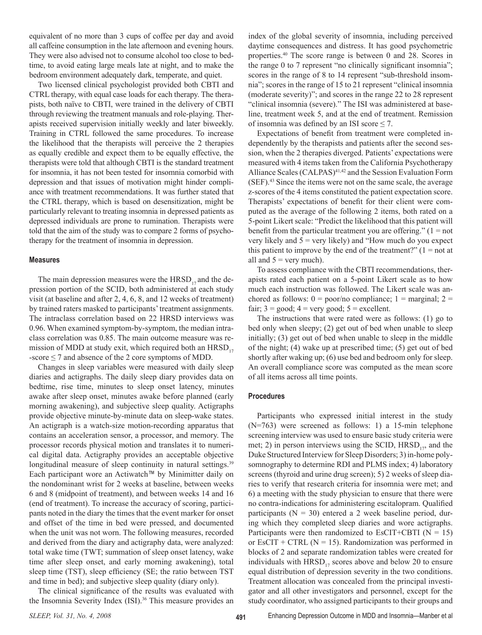equivalent of no more than 3 cups of coffee per day and avoid all caffeine consumption in the late afternoon and evening hours. They were also advised not to consume alcohol too close to bedtime, to avoid eating large meals late at night, and to make the bedroom environment adequately dark, temperate, and quiet.

Two licensed clinical psychologist provided both CBTI and CTRL therapy, with equal case loads for each therapy. The therapists, both naïve to CBTI, were trained in the delivery of CBTI through reviewing the treatment manuals and role-playing. Therapists received supervision initially weekly and later biweekly. Training in CTRL followed the same procedures. To increase the likelihood that the therapists will perceive the 2 therapies as equally credible and expect them to be equally effective, the therapists were told that although CBTI is the standard treatment for insomnia, it has not been tested for insomnia comorbid with depression and that issues of motivation might hinder compliance with treatment recommendations. It was further stated that the CTRL therapy, which is based on desensitization, might be particularly relevant to treating insomnia in depressed patients as depressed individuals are prone to rumination. Therapists were told that the aim of the study was to compare 2 forms of psychotherapy for the treatment of insomnia in depression.

#### **Measures**

The main depression measures were the  $HRSD_{17}$  and the depression portion of the SCID, both administered at each study visit (at baseline and after 2, 4, 6, 8, and 12 weeks of treatment) by trained raters masked to participants' treatment assignments. The intraclass correlation based on 22 HRSD interviews was 0.96. When examined symptom-by-symptom, the median intraclass correlation was 0.85. The main outcome measure was remission of MDD at study exit, which required both an  $HRSD_{17}$  $-score \le 7$  and absence of the 2 core symptoms of MDD.

Changes in sleep variables were measured with daily sleep diaries and actigraphs. The daily sleep diary provides data on bedtime, rise time, minutes to sleep onset latency, minutes awake after sleep onset, minutes awake before planned (early morning awakening), and subjective sleep quality. Actigraphs provide objective minute-by-minute data on sleep-wake states. An actigraph is a watch-size motion-recording apparatus that contains an acceleration sensor, a processor, and memory. The processor records physical motion and translates it to numerical digital data. Actigraphy provides an acceptable objective longitudinal measure of sleep continuity in natural settings.<sup>39</sup> Each participant wore an Actiwatch™ by Minimitter daily on the nondominant wrist for 2 weeks at baseline, between weeks 6 and 8 (midpoint of treatment), and between weeks 14 and 16 (end of treatment). To increase the accuracy of scoring, participants noted in the diary the times that the event marker for onset and offset of the time in bed were pressed, and documented when the unit was not worn. The following measures, recorded and derived from the diary and actigraphy data, were analyzed: total wake time (TWT; summation of sleep onset latency, wake time after sleep onset, and early morning awakening), total sleep time (TST), sleep efficiency (SE; the ratio between TST and time in bed); and subjective sleep quality (diary only).

The clinical significance of the results was evaluated with the Insomnia Severity Index (ISI).<sup>36</sup> This measure provides an

index of the global severity of insomnia, including perceived daytime consequences and distress. It has good psychometric properties.<sup>40</sup> The score range is between 0 and 28. Scores in the range 0 to 7 represent "no clinically significant insomnia"; scores in the range of 8 to 14 represent "sub-threshold insomnia"; scores in the range of 15 to 21 represent "clinical insomnia (moderate severity)"; and scores in the range 22 to 28 represent "clinical insomnia (severe)." The ISI was administered at baseline, treatment week 5, and at the end of treatment. Remission of insomnia was defined by an ISI score  $\leq$  7.

Expectations of benefit from treatment were completed independently by the therapists and patients after the second session, when the 2 therapies diverged. Patients' expectations were measured with 4 items taken from the California Psychotherapy Alliance Scales (CALPAS)<sup>41,42</sup> and the Session Evaluation Form (SEF).43 Since the items were not on the same scale, the average z-scores of the 4 items constituted the patient expectation score. Therapists' expectations of benefit for their client were computed as the average of the following 2 items, both rated on a 5-point Likert scale: "Predict the likelihood that this patient will benefit from the particular treatment you are offering."  $(1 = not$ very likely and  $5 = \text{very likely}$  and "How much do you expect this patient to improve by the end of the treatment?"  $(1 = not$  at all and  $5 =$  very much).

To assess compliance with the CBTI recommendations, therapists rated each patient on a 5-point Likert scale as to how much each instruction was followed. The Likert scale was anchored as follows:  $0 = \text{poor/no}$  compliance;  $1 = \text{marginal}$ ;  $2 =$ fair;  $3 = \text{good}$ ;  $4 = \text{very good}$ ;  $5 = \text{excellent}$ .

The instructions that were rated were as follows: (1) go to bed only when sleepy; (2) get out of bed when unable to sleep initially; (3) get out of bed when unable to sleep in the middle of the night; (4) wake up at prescribed time; (5) get out of bed shortly after waking up; (6) use bed and bedroom only for sleep. An overall compliance score was computed as the mean score of all items across all time points.

#### **Procedures**

Participants who expressed initial interest in the study (N=763) were screened as follows: 1) a 15-min telephone screening interview was used to ensure basic study criteria were met; 2) in person interviews using the SCID,  $HRSD_{17}$ , and the Duke Structured Interview for Sleep Disorders; 3) in-home polysomnography to determine RDI and PLMS index; 4) laboratory screens (thyroid and urine drug screen); 5) 2 weeks of sleep diaries to verify that research criteria for insomnia were met; and 6) a meeting with the study physician to ensure that there were no contra-indications for administering escitalopram. Qualified participants ( $N = 30$ ) entered a 2 week baseline period, during which they completed sleep diaries and wore actigraphs. Participants were then randomized to EsCIT+CBTI ( $N = 15$ ) or EsCIT + CTRL ( $N = 15$ ). Randomization was performed in blocks of 2 and separate randomization tables were created for individuals with  $HRSD_{17}$  scores above and below 20 to ensure equal distribution of depression severity in the two conditions. Treatment allocation was concealed from the principal investigator and all other investigators and personnel, except for the study coordinator, who assigned participants to their groups and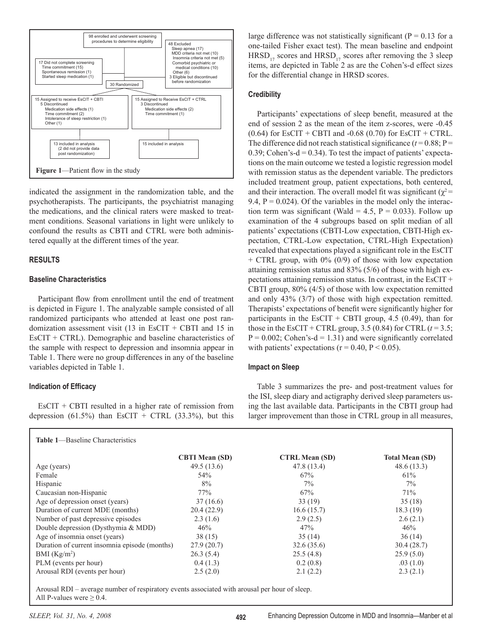

indicated the assignment in the randomization table, and the psychotherapists. The participants, the psychiatrist managing the medications, and the clinical raters were masked to treatment conditions. Seasonal variations in light were unlikely to confound the results as CBTI and CTRL were both administered equally at the different times of the year.

# **RESULTS**

## **Baseline Characteristics**

Participant flow from enrollment until the end of treatment is depicted in Figure 1. The analyzable sample consisted of all randomized participants who attended at least one post randomization assessment visit  $(13 \text{ in } \text{EsCIT} + \text{CBTI} \text{ and } 15 \text{ in}$ EsCIT + CTRL). Demographic and baseline characteristics of the sample with respect to depression and insomnia appear in Table 1. There were no group differences in any of the baseline variables depicted in Table 1.

# **Indication of Efficacy**

EsCIT + CBTI resulted in a higher rate of remission from depression (61.5%) than EsCIT + CTRL (33.3%), but this

large difference was not statistically significant ( $P = 0.13$  for a one-tailed Fisher exact test). The mean baseline and endpoint  $HRSD_{17}$  scores and  $HRSD_{17}$  scores after removing the 3 sleep items, are depicted in Table 2 as are the Cohen's-d effect sizes for the differential change in HRSD scores.

# **Credibility**

Participants' expectations of sleep benefit, measured at the end of session 2 as the mean of the item z-scores, were -0.45 (0.64) for EsCIT + CBTI and -0.68 (0.70) for EsCIT + CTRL. The difference did not reach statistical significance  $(t=0.88; P=$ 0.39; Cohen's-d = 0.34). To test the impact of patients' expectations on the main outcome we tested a logistic regression model with remission status as the dependent variable. The predictors included treatment group, patient expectations, both centered, and their interaction. The overall model fit was significant ( $\chi^2$ = 9.4,  $P = 0.024$ ). Of the variables in the model only the interaction term was significant (Wald = 4.5,  $P = 0.033$ ). Follow up examination of the 4 subgroups based on split median of all patients' expectations (CBTI-Low expectation, CBTI-High expectation, CTRL-Low expectation, CTRL-High Expectation) revealed that expectations played a significant role in the EsCIT + CTRL group, with 0% (0/9) of those with low expectation attaining remission status and 83% (5/6) of those with high expectations attaining remission status. In contrast, in the EsCIT + CBTI group, 80% (4/5) of those with low expectation remitted and only 43% (3/7) of those with high expectation remitted. Therapists' expectations of benefit were significantly higher for participants in the EsCIT + CBTI group, 4.5 (0.49), than for those in the EsCIT + CTRL group,  $3.5$  (0.84) for CTRL  $(t=3.5;$  $P = 0.002$ ; Cohen's-d = 1.31) and were significantly correlated with patients' expectations ( $r = 0.40$ ,  $P < 0.05$ ).

# **Impact on Sleep**

Table 3 summarizes the pre- and post-treatment values for the ISI, sleep diary and actigraphy derived sleep parameters using the last available data. Participants in the CBTI group had larger improvement than those in CTRL group in all measures,

|                                               | <b>CBTI Mean (SD)</b> | <b>CTRL Mean (SD)</b> | <b>Total Mean (SD)</b> |
|-----------------------------------------------|-----------------------|-----------------------|------------------------|
| Age (years)                                   | 49.5(13.6)            | 47.8 (13.4)           | 48.6(13.3)             |
| Female                                        | 54%                   | 67%                   | 61%                    |
| Hispanic                                      | 8%                    | $7\%$                 | $7\%$                  |
| Caucasian non-Hispanic                        | 77%                   | 67%                   | 71%                    |
| Age of depression onset (years)               | 37(16.6)              | 33(19)                | 35(18)                 |
| Duration of current MDE (months)              | 20.4(22.9)            | 16.6(15.7)            | 18.3(19)               |
| Number of past depressive episodes            | 2.3(1.6)              | 2.9(2.5)              | 2.6(2.1)               |
| Double depression (Dysthymia & MDD)           | 46%                   | 47%                   | 46%                    |
| Age of insomnia onset (years)                 | 38(15)                | 35(14)                | 36(14)                 |
| Duration of current insomnia episode (months) | 27.9(20.7)            | 32.6(35.6)            | 30.4(28.7)             |
| BMI $(Kg/m2)$                                 | 26.3(5.4)             | 25.5(4.8)             | 25.9(5.0)              |
| PLM (events per hour)                         | 0.4(1.3)              | 0.2(0.8)              | .03(1.0)               |
| Arousal RDI (events per hour)                 | 2.5(2.0)              | 2.1(2.2)              | 2.3(2.1)               |

Arousal RDI – average number of respiratory events associated with arousal per hour of sleep. All P-values were  $\geq 0.4$ .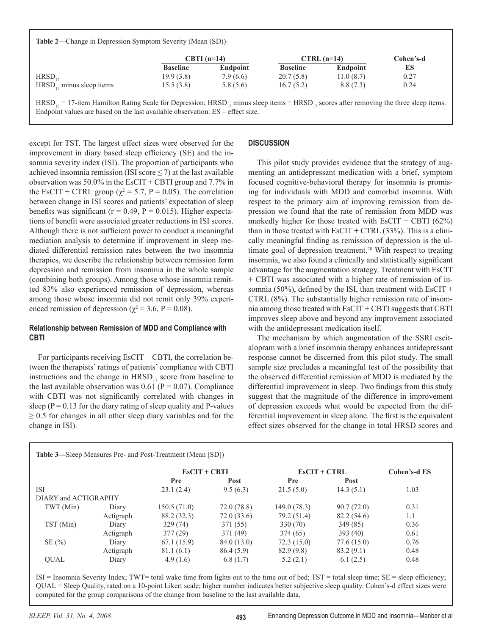**Table 2**—Change in Depression Symptom Severity (Mean (SD))

|                               | $CBTI$ (n=14)   |          | $CTRL$ (n=14)   |           | Cohen's-d |
|-------------------------------|-----------------|----------|-----------------|-----------|-----------|
|                               | <b>Baseline</b> | Endpoint | <b>Baseline</b> | Endpoint  | ES        |
| $HRSD_{17}$                   | 19.9(3.8)       | 7.9(6.6) | 20.7(5.8)       | 11.0(8.7) | 0.27      |
| $HRSD_{17}$ minus sleep items | 15.5(3.8)       | 5.8(5.6) | 16.7(5.2)       | 8.8(7.3)  | 0.24      |

 $HRSD_{17} = 17$ -item Hamilton Rating Scale for Depression;  $HRSD_{17}$  minus sleep items =  $HRSD_{17}$  scores after removing the three sleep items. Endpoint values are based on the last available observation. ES – effect size.

except for TST. The largest effect sizes were observed for the improvement in diary based sleep efficiency (SE) and the insomnia severity index (ISI). The proportion of participants who achieved insomnia remission (ISI score  $\leq$  7) at the last available observation was 50.0% in the EsCIT + CBTI group and 7.7% in the EsCIT + CTRL group ( $\chi^2$  = 5.7, P = 0.05). The correlation between change in ISI scores and patients' expectation of sleep benefits was significant ( $r = 0.49$ ,  $P = 0.015$ ). Higher expectations of benefit were associated greater reductions in ISI scores. Although there is not sufficient power to conduct a meaningful mediation analysis to determine if improvement in sleep mediated differential remission rates between the two insomnia therapies, we describe the relationship between remission form depression and remission from insomnia in the whole sample (combining both groups). Among those whose insomnia remitted 83% also experienced remission of depression, whereas among those whose insomnia did not remit only 39% experienced remission of depression ( $\chi^2$  = 3.6, P = 0.08).

## **Relationship between Remission of MDD and Compliance with CBTI**

For participants receiving  $E\text{SCT} + \text{CB} \text{T}$ , the correlation between the therapists' ratings of patients' compliance with CBTI instructions and the change in  $HRSD_{17}$  score from baseline to the last available observation was  $0.61$  (P = 0.07). Compliance with CBTI was not significantly correlated with changes in sleep ( $P = 0.13$  for the diary rating of sleep quality and P-values  $\geq$  0.5 for changes in all other sleep diary variables and for the change in ISI).

# **DISCUSSION**

This pilot study provides evidence that the strategy of augmenting an antidepressant medication with a brief, symptom focused cognitive-behavioral therapy for insomnia is promising for individuals with MDD and comorbid insomnia. With respect to the primary aim of improving remission from depression we found that the rate of remission from MDD was markedly higher for those treated with EsCIT + CBTI  $(62\%)$ than in those treated with  $E\text{SCT} + \text{CTRL}$  (33%). This is a clinically meaningful finding as remission of depression is the ultimate goal of depression treatment.<sup>28</sup> With respect to treating insomnia, we also found a clinically and statistically significant advantage for the augmentation strategy. Treatment with EsCIT + CBTI was associated with a higher rate of remission of insomnia (50%), defined by the ISI, than treatment with EsCIT + CTRL (8%). The substantially higher remission rate of insomnia among those treated with EsCIT + CBTI suggests that CBTI improves sleep above and beyond any improvement associated with the antidepressant medication itself.

The mechanism by which augmentation of the SSRI escitalopram with a brief insomnia therapy enhances antidepressant response cannot be discerned from this pilot study. The small sample size precludes a meaningful test of the possibility that the observed differential remission of MDD is mediated by the differential improvement in sleep. Two findings from this study suggest that the magnitude of the difference in improvement of depression exceeds what would be expected from the differential improvement in sleep alone. The first is the equivalent effect sizes observed for the change in total HRSD scores and

| <b>Table 3—Sleep Measures Pre- and Post-Treatment (Mean [SD])</b> |           |                |             |                |            |              |  |  |  |
|-------------------------------------------------------------------|-----------|----------------|-------------|----------------|------------|--------------|--|--|--|
|                                                                   |           | $ESCIT + CBTI$ |             | $EsCIT + CTRL$ |            | Cohen's-d ES |  |  |  |
|                                                                   |           | Pre            | Post        | Pre            | Post       |              |  |  |  |
| <b>ISI</b>                                                        |           | 23.1(2.4)      | 9.5(6.3)    | 21.5(5.0)      | 14.3(5.1)  | 1.03         |  |  |  |
| DIARY and ACTIGRAPHY                                              |           |                |             |                |            |              |  |  |  |
| TWT (Min)                                                         | Diary     | 150.5(71.0)    | 72.0(78.8)  | 149.0 (78.3)   | 90.7(72.0) | 0.31         |  |  |  |
|                                                                   | Actigraph | 88.2 (32.3)    | 72.0(33.6)  | 79.2 (51.4)    | 82.2(54.6) | 1.1          |  |  |  |
| TST (Min)                                                         | Diary     | 329(74)        | 371 (55)    | 330 (70)       | 349 (85)   | 0.36         |  |  |  |
|                                                                   | Actigraph | 377(29)        | 371 (49)    | 374 (65)       | 393(40)    | 0.61         |  |  |  |
| SE(%)                                                             | Diary     | 67.1(15.9)     | 84.0 (13.0) | 72.3(15.0)     | 77.6(15.0) | 0.76         |  |  |  |
|                                                                   | Actigraph | 81.1(6.1)      | 86.4(5.9)   | 82.9(9.8)      | 83.2(9.1)  | 0.48         |  |  |  |
| <b>OUAL</b>                                                       | Diary     | 4.9(1.6)       | 6.8(1.7)    | 5.2(2.1)       | 6.1(2.5)   | 0.48         |  |  |  |

ISI = Insomnia Severity Index; TWT= total wake time from lights out to the time out of bed; TST = total sleep time; SE = sleep efficiency; QUAL = Sleep Quality, rated on a 10-point Likert scale; higher number indicates better subjective sleep quality. Cohen's-d effect sizes were computed for the group comparisons of the change from baseline to the last available data.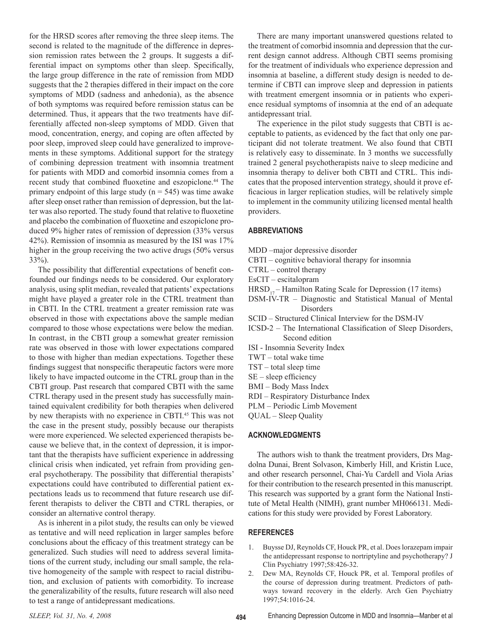for the HRSD scores after removing the three sleep items. The second is related to the magnitude of the difference in depression remission rates between the 2 groups. It suggests a differential impact on symptoms other than sleep. Specifically, the large group difference in the rate of remission from MDD suggests that the 2 therapies differed in their impact on the core symptoms of MDD (sadness and anhedonia), as the absence of both symptoms was required before remission status can be determined. Thus, it appears that the two treatments have differentially affected non-sleep symptoms of MDD. Given that mood, concentration, energy, and coping are often affected by poor sleep, improved sleep could have generalized to improvements in these symptoms. Additional support for the strategy of combining depression treatment with insomnia treatment for patients with MDD and comorbid insomnia comes from a recent study that combined fluoxetine and eszopiclone.<sup>44</sup> The primary endpoint of this large study ( $n = 545$ ) was time awake after sleep onset rather than remission of depression, but the latter was also reported. The study found that relative to fluoxetine and placebo the combination of fluoxetine and eszopiclone produced 9% higher rates of remission of depression (33% versus 42%). Remission of insomnia as measured by the ISI was 17% higher in the group receiving the two active drugs (50% versus 33%).

The possibility that differential expectations of benefit confounded our findings needs to be considered. Our exploratory analysis, using split median, revealed that patients' expectations might have played a greater role in the CTRL treatment than in CBTI. In the CTRL treatment a greater remission rate was observed in those with expectations above the sample median compared to those whose expectations were below the median. In contrast, in the CBTI group a somewhat greater remission rate was observed in those with lower expectations compared to those with higher than median expectations. Together these findings suggest that nonspecific therapeutic factors were more likely to have impacted outcome in the CTRL group than in the CBTI group. Past research that compared CBTI with the same CTRL therapy used in the present study has successfully maintained equivalent credibility for both therapies when delivered by new therapists with no experience in CBTI.<sup>45</sup> This was not the case in the present study, possibly because our therapists were more experienced. We selected experienced therapists because we believe that, in the context of depression, it is important that the therapists have sufficient experience in addressing clinical crisis when indicated, yet refrain from providing general psychotherapy. The possibility that differential therapists' expectations could have contributed to differential patient expectations leads us to recommend that future research use different therapists to deliver the CBTI and CTRL therapies, or consider an alternative control therapy.

As is inherent in a pilot study, the results can only be viewed as tentative and will need replication in larger samples before conclusions about the efficacy of this treatment strategy can be generalized. Such studies will need to address several limitations of the current study, including our small sample, the relative homogeneity of the sample with respect to racial distribution, and exclusion of patients with comorbidity. To increase the generalizability of the results, future research will also need to test a range of antidepressant medications.

There are many important unanswered questions related to the treatment of comorbid insomnia and depression that the current design cannot address. Although CBTI seems promising for the treatment of individuals who experience depression and insomnia at baseline, a different study design is needed to determine if CBTI can improve sleep and depression in patients with treatment emergent insomnia or in patients who experience residual symptoms of insomnia at the end of an adequate antidepressant trial.

The experience in the pilot study suggests that CBTI is acceptable to patients, as evidenced by the fact that only one participant did not tolerate treatment. We also found that CBTI is relatively easy to disseminate. In 3 months we successfully trained 2 general psychotherapists naive to sleep medicine and insomnia therapy to deliver both CBTI and CTRL. This indicates that the proposed intervention strategy, should it prove efficacious in larger replication studies, will be relatively simple to implement in the community utilizing licensed mental health providers.

## **Abbreviations**

- MDD –major depressive disorder
- CBTI cognitive behavioral therapy for insomnia
- CTRL control therapy
- EsCIT escitalopram
- $HRSD_{17}$  Hamilton Rating Scale for Depression (17 items)
- DSM-IV-TR Diagnostic and Statistical Manual of Mental Disorders
- SCID Structured Clinical Interview for the DSM-IV
- ICSD-2 The International Classification of Sleep Disorders, Second edition
- ISI Insomnia Severity Index
- TWT total wake time
- TST total sleep time
- SE sleep efficiency
- BMI Body Mass Index
- RDI Respiratory Disturbance Index
- PLM Periodic Limb Movement
- QUAL Sleep Quality

## **Acknowledgments**

The authors wish to thank the treatment providers, Drs Magdolna Dunai, Brent Solvason, Kimberly Hill, and Kristin Luce, and other research personnel, Chai-Yu Cardell and Viola Arias for their contribution to the research presented in this manuscript. This research was supported by a grant form the National Institute of Metal Health (NIMH), grant number MH066131. Medications for this study were provided by Forest Laboratory.

#### **References**

- 1. Buysse DJ, Reynolds CF, Houck PR, et al. Does lorazepam impair the antidepressant response to nortriptyline and psychotherapy? J Clin Psychiatry 1997;58:426-32.
- 2. Dew MA, Reynolds CF, Houck PR, et al. Temporal profiles of the course of depression during treatment. Predictors of pathways toward recovery in the elderly. Arch Gen Psychiatry 1997;54:1016-24.